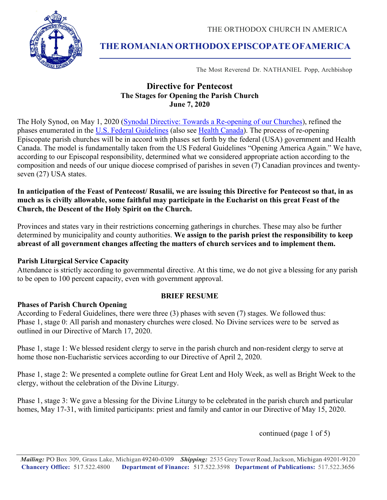THE ORTHODOX CHURCH IN AMERICA



# **THEROMANIAN ORTHODOX EPISCOPATEOFAMERICA**

The Most Reverend Dr. NATHANIEL Popp, Archbishop

# **Directive for Pentecost The Stages for Opening the Parish Church June 7, 2020**

The Holy Synod, on May 1, 2020 [\(Synodal Directive: Towards a Re-opening of our Churches\)](https://www.oca.org/cdn/PDFs/synod/2020-0501-covid-synod-directives.pdf), refined the phases enumerated in the [U.S. Federal Guidelines](https://www.whitehouse.gov/openingamerica/) (also see [Health Canada\)](https://www.canada.ca/en/public-health/services/diseases/2019-novel-coronavirus-infection/guidance-documents/lifting-public-health-measures.html). The process of re-opening Episcopate parish churches will be in accord with phases set forth by the federal (USA) government and Health Canada. The model is fundamentally taken from the US Federal Guidelines "Opening America Again." We have, according to our Episcopal responsibility, determined what we considered appropriate action according to the composition and needs of our unique diocese comprised of parishes in seven (7) Canadian provinces and twentyseven (27) USA states.

# **In anticipation of the Feast of Pentecost/ Rusalii, we are issuing this Directive for Pentecost so that, in as much as is civilly allowable, some faithful may participate in the Eucharist on this great Feast of the Church, the Descent of the Holy Spirit on the Church.**

Provinces and states vary in their restrictions concerning gatherings in churches. These may also be further determined by municipality and county authorities. **We assign to the parish priest the responsibility to keep abreast of all government changes affecting the matters of church services and to implement them.** 

# **Parish Liturgical Service Capacity**

Attendance is strictly according to governmental directive. At this time, we do not give a blessing for any parish to be open to 100 percent capacity, even with government approval.

# **BRIEF RESUME**

# **Phases of Parish Church Opening**

According to Federal Guidelines, there were three (3) phases with seven (7) stages. We followed thus: Phase 1, stage 0: All parish and monastery churches were closed. No Divine services were to be served as outlined in our Directive of March 17, 2020.

Phase 1, stage 1: We blessed resident clergy to serve in the parish church and non-resident clergy to serve at home those non-Eucharistic services according to our Directive of April 2, 2020.

Phase 1, stage 2: We presented a complete outline for Great Lent and Holy Week, as well as Bright Week to the clergy, without the celebration of the Divine Liturgy.

Phase 1, stage 3: We gave a blessing for the Divine Liturgy to be celebrated in the parish church and particular homes, May 17-31, with limited participants: priest and family and cantor in our Directive of May 15, 2020.

continued (page 1 of 5)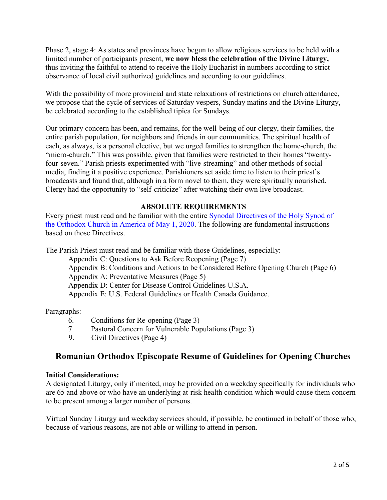Phase 2, stage 4: As states and provinces have begun to allow religious services to be held with a limited number of participants present, **we now bless the celebration of the Divine Liturgy,** thus inviting the faithful to attend to receive the Holy Eucharist in numbers according to strict observance of local civil authorized guidelines and according to our guidelines.

With the possibility of more provincial and state relaxations of restrictions on church attendance, we propose that the cycle of services of Saturday vespers, Sunday matins and the Divine Liturgy, be celebrated according to the established tipica for Sundays.

Our primary concern has been, and remains, for the well-being of our clergy, their families, the entire parish population, for neighbors and friends in our communities. The spiritual health of each, as always, is a personal elective, but we urged families to strengthen the home-church, the "micro-church." This was possible, given that families were restricted to their homes "twentyfour-seven." Parish priests experimented with "live-streaming" and other methods of social media, finding it a positive experience. Parishioners set aside time to listen to their priest's broadcasts and found that, although in a form novel to them, they were spiritually nourished. Clergy had the opportunity to "self-criticize" after watching their own live broadcast.

# **ABSOLUTE REQUIREMENTS**

Every priest must read and be familiar with the entire [Synodal Directives of the Holy Synod of](https://www.oca.org/cdn/PDFs/synod/2020-0501-covid-synod-directives.pdf)  [the Orthodox Church in America of May 1, 2020.](https://www.oca.org/cdn/PDFs/synod/2020-0501-covid-synod-directives.pdf) The following are fundamental instructions based on those Directives.

The Parish Priest must read and be familiar with those Guidelines, especially:

Appendix C: Questions to Ask Before Reopening (Page 7) Appendix B: Conditions and Actions to be Considered Before Opening Church (Page 6) Appendix A: Preventative Measures (Page 5) Appendix D: Center for Disease Control Guidelines U.S.A.

Appendix E: U.S. Federal Guidelines or Health Canada Guidance.

Paragraphs:

- 6. Conditions for Re-opening (Page 3)
- 7. Pastoral Concern for Vulnerable Populations (Page 3)
- 9. Civil Directives (Page 4)

# **Romanian Orthodox Episcopate Resume of Guidelines for Opening Churches**

#### **Initial Considerations:**

A designated Liturgy, only if merited, may be provided on a weekday specifically for individuals who are 65 and above or who have an underlying at-risk health condition which would cause them concern to be present among a larger number of persons.

Virtual Sunday Liturgy and weekday services should, if possible, be continued in behalf of those who, because of various reasons, are not able or willing to attend in person.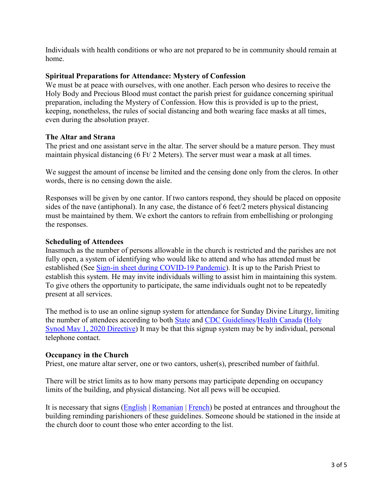Individuals with health conditions or who are not prepared to be in community should remain at home.

### **Spiritual Preparations for Attendance: Mystery of Confession**

We must be at peace with ourselves, with one another. Each person who desires to receive the Holy Body and Precious Blood must contact the parish priest for guidance concerning spiritual preparation, including the Mystery of Confession. How this is provided is up to the priest, keeping, nonetheless, the rules of social distancing and both wearing face masks at all times, even during the absolution prayer.

### **The Altar and Strana**

The priest and one assistant serve in the altar. The server should be a mature person. They must maintain physical distancing (6 Ft/ 2 Meters). The server must wear a mask at all times.

We suggest the amount of incense be limited and the censing done only from the cleros. In other words, there is no censing down the aisle.

Responses will be given by one cantor. If two cantors respond, they should be placed on opposite sides of the nave (antiphonal). In any case, the distance of 6 feet/2 meters physical distancing must be maintained by them. We exhort the cantors to refrain from embellishing or prolonging the responses.

#### **Scheduling of Attendees**

Inasmuch as the number of persons allowable in the church is restricted and the parishes are not fully open, a system of identifying who would like to attend and who has attended must be established (See [Sign-in sheet during COVID-19 Pandemic\)](https://roea.org/files/Resources/COVID-Sign-In-Sheet-English-PDF.pdf). It is up to the Parish Priest to establish this system. He may invite individuals willing to assist him in maintaining this system. To give others the opportunity to participate, the same individuals ought not to be repeatedly present at all services.

The method is to use an online signup system for attendance for Sunday Divine Liturgy, limiting the number of attendees according to both [State](https://www.cnn.com/interactive/2020/us/states-reopen-coronavirus-trnd/) and [CDC Guidelines/](https://www.cdc.gov/media/releases/2020/s0522-cdc-releases-recommendations-faith.html)Health [Canada](https://www.canada.ca/en/public-health/services/diseases/2019-novel-coronavirus-infection/guidance-documents/lifting-public-health-measures.html) [\(Holy](https://www.oca.org/cdn/PDFs/synod/2020-0501-covid-synod-directives.pdf)  [Synod May 1, 2020 Directive\)](https://www.oca.org/cdn/PDFs/synod/2020-0501-covid-synod-directives.pdf) It may be that this signup system may be by individual, personal telephone contact.

#### **Occupancy in the Church**

Priest, one mature altar server, one or two cantors, usher(s), prescribed number of faithful.

There will be strict limits as to how many persons may participate depending on occupancy limits of the building, and physical distancing. Not all pews will be occupied.

It is necessary that signs [\(English](https://roea.org/files/Resources/archdiocese_-_posted_notice_during_covid-19.pdf) | [Romanian](https://roea.org/files/Resources/archdiocese_-_posted_notice_during_covid-19-RO.pdf) | [French\)](https://roea.org/files/Resources/directives-covid_modif.pdf) be posted at entrances and throughout the building reminding parishioners of these guidelines. Someone should be stationed in the inside at the church door to count those who enter according to the list.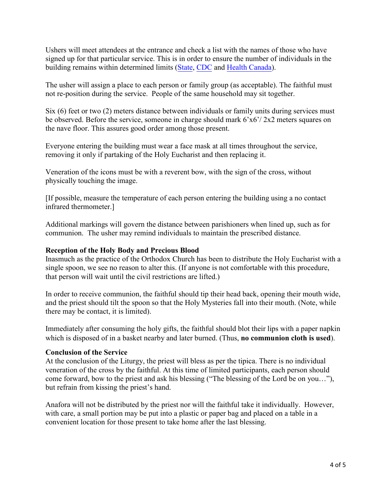Ushers will meet attendees at the entrance and check a list with the names of those who have signed up for that particular service. This is in order to ensure the number of individuals in the building remains within determined limits [\(State,](https://www.cnn.com/interactive/2020/us/states-reopen-coronavirus-trnd/) [CDC](https://www.cdc.gov/media/releases/2020/s0522-cdc-releases-recommendations-faith.html) and [Health Canada\).](https://www.canada.ca/en/public-health/services/diseases/2019-novel-coronavirus-infection/guidance-documents/lifting-public-health-measures.html)

The usher will assign a place to each person or family group (as acceptable). The faithful must not re-position during the service. People of the same household may sit together.

Six (6) feet or two (2) meters distance between individuals or family units during services must be observed. Before the service, someone in charge should mark 6'x6'/ 2x2 meters squares on the nave floor. This assures good order among those present.

Everyone entering the building must wear a face mask at all times throughout the service, removing it only if partaking of the Holy Eucharist and then replacing it.

Veneration of the icons must be with a reverent bow, with the sign of the cross, without physically touching the image.

[If possible, measure the temperature of each person entering the building using a no contact infrared thermometer.]

Additional markings will govern the distance between parishioners when lined up, such as for communion. The usher may remind individuals to maintain the prescribed distance.

#### **Reception of the Holy Body and Precious Blood**

Inasmuch as the practice of the Orthodox Church has been to distribute the Holy Eucharist with a single spoon, we see no reason to alter this. (If anyone is not comfortable with this procedure, that person will wait until the civil restrictions are lifted.)

In order to receive communion, the faithful should tip their head back, opening their mouth wide, and the priest should tilt the spoon so that the Holy Mysteries fall into their mouth. (Note, while there may be contact, it is limited).

Immediately after consuming the holy gifts, the faithful should blot their lips with a paper napkin which is disposed of in a basket nearby and later burned. (Thus, **no communion cloth is used**).

#### **Conclusion of the Service**

At the conclusion of the Liturgy, the priest will bless as per the tipica. There is no individual veneration of the cross by the faithful. At this time of limited participants, each person should come forward, bow to the priest and ask his blessing ("The blessing of the Lord be on you…"), but refrain from kissing the priest's hand.

Anafora will not be distributed by the priest nor will the faithful take it individually. However, with care, a small portion may be put into a plastic or paper bag and placed on a table in a convenient location for those present to take home after the last blessing.